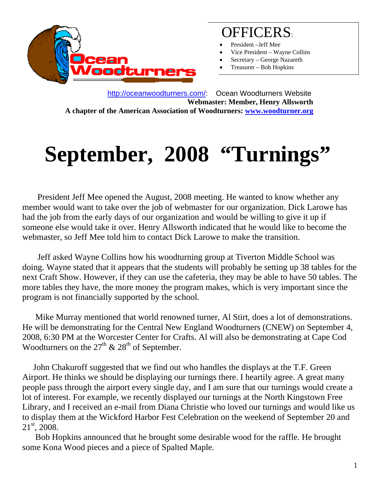

## OFFICERS:

- President –Jeff Mee
- Vice President Wayne Collins
- Secretary George Nazareth
- Treasurer Bob Hopkins

 http://oceanwoodturners.com/: Ocean Woodturners Website **Webmaster: Member, Henry Allsworth A chapter of the American Association of Woodturners: www.woodturner.org** 

# **September, 2008 "Turnings"**

President Jeff Mee opened the August, 2008 meeting. He wanted to know whether any member would want to take over the job of webmaster for our organization. Dick Larowe has had the job from the early days of our organization and would be willing to give it up if someone else would take it over. Henry Allsworth indicated that he would like to become the webmaster, so Jeff Mee told him to contact Dick Larowe to make the transition.

 Jeff asked Wayne Collins how his woodturning group at Tiverton Middle School was doing. Wayne stated that it appears that the students will probably be setting up 38 tables for the next Craft Show. However, if they can use the cafeteria, they may be able to have 50 tables. The more tables they have, the more money the program makes, which is very important since the program is not financially supported by the school.

 Mike Murray mentioned that world renowned turner, Al Stirt, does a lot of demonstrations. He will be demonstrating for the Central New England Woodturners (CNEW) on September 4, 2008, 6:30 PM at the Worcester Center for Crafts. Al will also be demonstrating at Cape Cod Woodturners on the  $27<sup>th</sup>$  &  $28<sup>th</sup>$  of September.

 John Chakuroff suggested that we find out who handles the displays at the T.F. Green Airport. He thinks we should be displaying our turnings there. I heartily agree. A great many people pass through the airport every single day, and I am sure that our turnings would create a lot of interest. For example, we recently displayed our turnings at the North Kingstown Free Library, and I received an e-mail from Diana Christie who loved our turnings and would like us to display them at the Wickford Harbor Fest Celebration on the weekend of September 20 and 21<sup>st</sup>, 2008.

 Bob Hopkins announced that he brought some desirable wood for the raffle. He brought some Kona Wood pieces and a piece of Spalted Maple.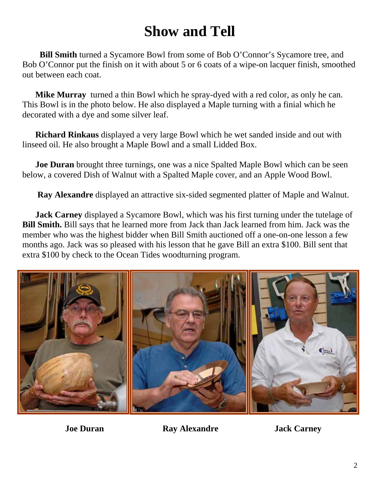# **Show and Tell**

 **Bill Smith** turned a Sycamore Bowl from some of Bob O'Connor's Sycamore tree, and Bob O'Connor put the finish on it with about 5 or 6 coats of a wipe-on lacquer finish, smoothed out between each coat.

 **Mike Murray** turned a thin Bowl which he spray-dyed with a red color, as only he can. This Bowl is in the photo below. He also displayed a Maple turning with a finial which he decorated with a dye and some silver leaf.

 **Richard Rinkaus** displayed a very large Bowl which he wet sanded inside and out with linseed oil. He also brought a Maple Bowl and a small Lidded Box.

 **Joe Duran** brought three turnings, one was a nice Spalted Maple Bowl which can be seen below, a covered Dish of Walnut with a Spalted Maple cover, and an Apple Wood Bowl.

**Ray Alexandre** displayed an attractive six-sided segmented platter of Maple and Walnut.

 **Jack Carney** displayed a Sycamore Bowl, which was his first turning under the tutelage of **Bill Smith.** Bill says that he learned more from Jack than Jack learned from him. Jack was the member who was the highest bidder when Bill Smith auctioned off a one-on-one lesson a few months ago. Jack was so pleased with his lesson that he gave Bill an extra \$100. Bill sent that extra \$100 by check to the Ocean Tides woodturning program.



**Joe Duran Ray Alexandre 19 Jack Carney**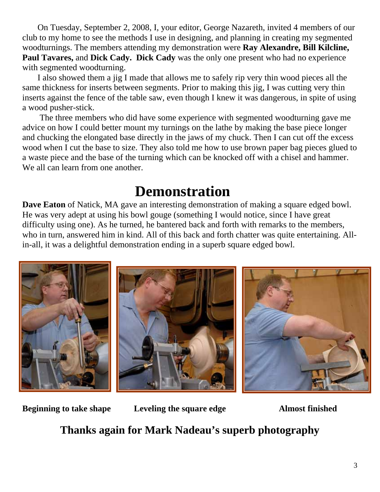On Tuesday, September 2, 2008, I, your editor, George Nazareth, invited 4 members of our club to my home to see the methods I use in designing, and planning in creating my segmented woodturnings. The members attending my demonstration were **Ray Alexandre, Bill Kilcline, Paul Tavares,** and **Dick Cady. Dick Cady** was the only one present who had no experience with segmented woodturning.

 I also showed them a jig I made that allows me to safely rip very thin wood pieces all the same thickness for inserts between segments. Prior to making this jig, I was cutting very thin inserts against the fence of the table saw, even though I knew it was dangerous, in spite of using a wood pusher-stick.

 The three members who did have some experience with segmented woodturning gave me advice on how I could better mount my turnings on the lathe by making the base piece longer and chucking the elongated base directly in the jaws of my chuck. Then I can cut off the excess wood when I cut the base to size. They also told me how to use brown paper bag pieces glued to a waste piece and the base of the turning which can be knocked off with a chisel and hammer. We all can learn from one another.

### **Demonstration**

**Dave Eaton** of Natick, MA gave an interesting demonstration of making a square edged bowl. He was very adept at using his bowl gouge (something I would notice, since I have great difficulty using one). As he turned, he bantered back and forth with remarks to the members, who in turn, answered him in kind. All of this back and forth chatter was quite entertaining. Allin-all, it was a delightful demonstration ending in a superb square edged bowl.



**Beginning to take shape Leveling the square edge Almost finished** 

**Thanks again for Mark Nadeau's superb photography**